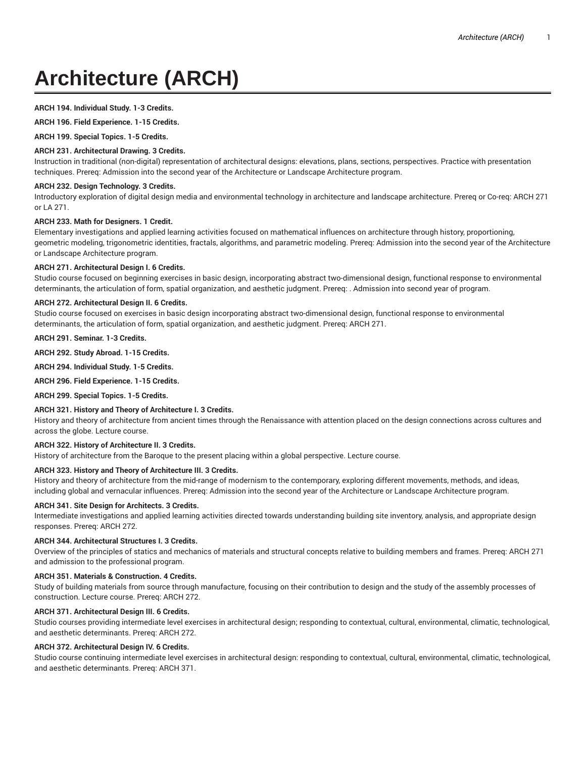# **Architecture (ARCH)**

# **ARCH 194. Individual Study. 1-3 Credits.**

**ARCH 196. Field Experience. 1-15 Credits.**

**ARCH 199. Special Topics. 1-5 Credits.**

# **ARCH 231. Architectural Drawing. 3 Credits.**

Instruction in traditional (non-digital) representation of architectural designs: elevations, plans, sections, perspectives. Practice with presentation techniques. Prereq: Admission into the second year of the Architecture or Landscape Architecture program.

# **ARCH 232. Design Technology. 3 Credits.**

Introductory exploration of digital design media and environmental technology in architecture and landscape architecture. Prereq or Co-req: ARCH 271 or LA 271.

# **ARCH 233. Math for Designers. 1 Credit.**

Elementary investigations and applied learning activities focused on mathematical influences on architecture through history, proportioning, geometric modeling, trigonometric identities, fractals, algorithms, and parametric modeling. Prereq: Admission into the second year of the Architecture or Landscape Architecture program.

# **ARCH 271. Architectural Design I. 6 Credits.**

Studio course focused on beginning exercises in basic design, incorporating abstract two-dimensional design, functional response to environmental determinants, the articulation of form, spatial organization, and aesthetic judgment. Prereq: . Admission into second year of program.

# **ARCH 272. Architectural Design II. 6 Credits.**

Studio course focused on exercises in basic design incorporating abstract two-dimensional design, functional response to environmental determinants, the articulation of form, spatial organization, and aesthetic judgment. Prereq: ARCH 271.

**ARCH 291. Seminar. 1-3 Credits.**

**ARCH 292. Study Abroad. 1-15 Credits.**

**ARCH 294. Individual Study. 1-5 Credits.**

**ARCH 296. Field Experience. 1-15 Credits.**

**ARCH 299. Special Topics. 1-5 Credits.**

# **ARCH 321. History and Theory of Architecture I. 3 Credits.**

History and theory of architecture from ancient times through the Renaissance with attention placed on the design connections across cultures and across the globe. Lecture course.

# **ARCH 322. History of Architecture II. 3 Credits.**

History of architecture from the Baroque to the present placing within a global perspective. Lecture course.

# **ARCH 323. History and Theory of Architecture III. 3 Credits.**

History and theory of architecture from the mid-range of modernism to the contemporary, exploring different movements, methods, and ideas, including global and vernacular influences. Prereq: Admission into the second year of the Architecture or Landscape Architecture program.

# **ARCH 341. Site Design for Architects. 3 Credits.**

Intermediate investigations and applied learning activities directed towards understanding building site inventory, analysis, and appropriate design responses. Prereq: ARCH 272.

#### **ARCH 344. Architectural Structures I. 3 Credits.**

Overview of the principles of statics and mechanics of materials and structural concepts relative to building members and frames. Prereq: ARCH 271 and admission to the professional program.

# **ARCH 351. Materials & Construction. 4 Credits.**

Study of building materials from source through manufacture, focusing on their contribution to design and the study of the assembly processes of construction. Lecture course. Prereq: ARCH 272.

### **ARCH 371. Architectural Design III. 6 Credits.**

Studio courses providing intermediate level exercises in architectural design; responding to contextual, cultural, environmental, climatic, technological, and aesthetic determinants. Prereq: ARCH 272.

# **ARCH 372. Architectural Design IV. 6 Credits.**

Studio course continuing intermediate level exercises in architectural design: responding to contextual, cultural, environmental, climatic, technological, and aesthetic determinants. Prereq: ARCH 371.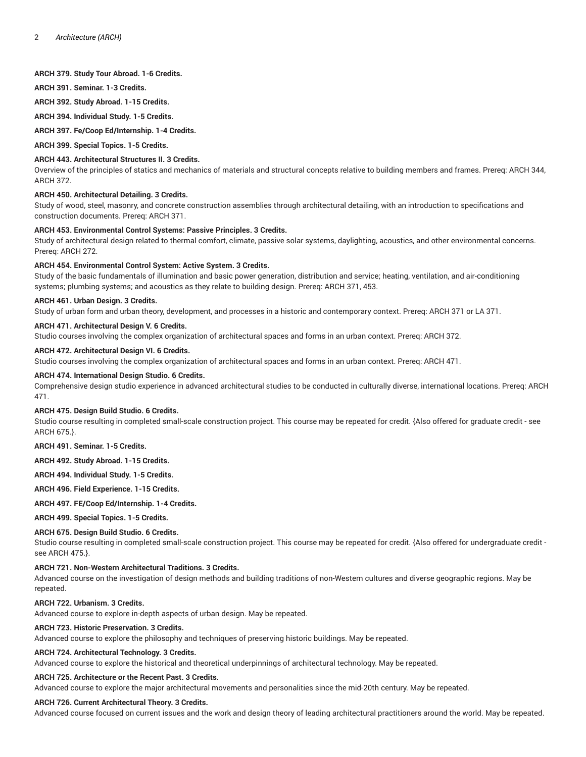## **ARCH 379. Study Tour Abroad. 1-6 Credits.**

**ARCH 391. Seminar. 1-3 Credits.**

**ARCH 392. Study Abroad. 1-15 Credits.**

**ARCH 394. Individual Study. 1-5 Credits.**

**ARCH 397. Fe/Coop Ed/Internship. 1-4 Credits.**

**ARCH 399. Special Topics. 1-5 Credits.**

## **ARCH 443. Architectural Structures II. 3 Credits.**

Overview of the principles of statics and mechanics of materials and structural concepts relative to building members and frames. Prereq: ARCH 344, ARCH 372.

## **ARCH 450. Architectural Detailing. 3 Credits.**

Study of wood, steel, masonry, and concrete construction assemblies through architectural detailing, with an introduction to specifications and construction documents. Prereq: ARCH 371.

# **ARCH 453. Environmental Control Systems: Passive Principles. 3 Credits.**

Study of architectural design related to thermal comfort, climate, passive solar systems, daylighting, acoustics, and other environmental concerns. Prereq: ARCH 272.

## **ARCH 454. Environmental Control System: Active System. 3 Credits.**

Study of the basic fundamentals of illumination and basic power generation, distribution and service; heating, ventilation, and air-conditioning systems; plumbing systems; and acoustics as they relate to building design. Prereq: ARCH 371, 453.

## **ARCH 461. Urban Design. 3 Credits.**

Study of urban form and urban theory, development, and processes in a historic and contemporary context. Prereq: ARCH 371 or LA 371.

# **ARCH 471. Architectural Design V. 6 Credits.**

Studio courses involving the complex organization of architectural spaces and forms in an urban context. Prereq: ARCH 372.

## **ARCH 472. Architectural Design VI. 6 Credits.**

Studio courses involving the complex organization of architectural spaces and forms in an urban context. Prereq: ARCH 471.

## **ARCH 474. International Design Studio. 6 Credits.**

Comprehensive design studio experience in advanced architectural studies to be conducted in culturally diverse, international locations. Prereq: ARCH 471.

#### **ARCH 475. Design Build Studio. 6 Credits.**

Studio course resulting in completed small-scale construction project. This course may be repeated for credit. {Also offered for graduate credit - see ARCH 675.}.

**ARCH 491. Seminar. 1-5 Credits.**

**ARCH 492. Study Abroad. 1-15 Credits.**

**ARCH 494. Individual Study. 1-5 Credits.**

**ARCH 496. Field Experience. 1-15 Credits.**

# **ARCH 497. FE/Coop Ed/Internship. 1-4 Credits.**

**ARCH 499. Special Topics. 1-5 Credits.**

# **ARCH 675. Design Build Studio. 6 Credits.**

Studio course resulting in completed small-scale construction project. This course may be repeated for credit. {Also offered for undergraduate credit see ARCH 475.}.

#### **ARCH 721. Non-Western Architectural Traditions. 3 Credits.**

Advanced course on the investigation of design methods and building traditions of non-Western cultures and diverse geographic regions. May be repeated.

## **ARCH 722. Urbanism. 3 Credits.**

Advanced course to explore in-depth aspects of urban design. May be repeated.

# **ARCH 723. Historic Preservation. 3 Credits.**

Advanced course to explore the philosophy and techniques of preserving historic buildings. May be repeated.

# **ARCH 724. Architectural Technology. 3 Credits.**

Advanced course to explore the historical and theoretical underpinnings of architectural technology. May be repeated.

## **ARCH 725. Architecture or the Recent Past. 3 Credits.**

Advanced course to explore the major architectural movements and personalities since the mid-20th century. May be repeated.

# **ARCH 726. Current Architectural Theory. 3 Credits.**

Advanced course focused on current issues and the work and design theory of leading architectural practitioners around the world. May be repeated.